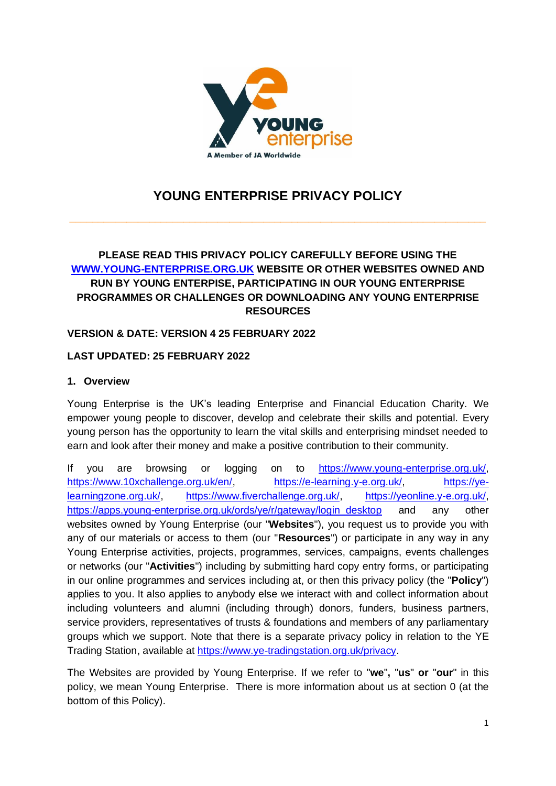

# **YOUNG ENTERPRISE PRIVACY POLICY**

**\_\_\_\_\_\_\_\_\_\_\_\_\_\_\_\_\_\_\_\_\_\_\_\_\_\_\_\_\_\_\_\_\_\_\_\_\_\_\_\_\_\_\_\_\_\_\_\_\_\_\_\_\_\_\_\_\_\_\_\_\_\_\_\_\_\_\_\_\_\_\_\_\_** 

# **PLEASE READ THIS PRIVACY POLICY CAREFULLY BEFORE USING THE [WWW.YOUNG-ENTERPRISE.ORG.UK](http://www.young-enterprise.org.uk/) WEBSITE OR OTHER WEBSITES OWNED AND RUN BY YOUNG ENTERPISE, PARTICIPATING IN OUR YOUNG ENTERPRISE PROGRAMMES OR CHALLENGES OR DOWNLOADING ANY YOUNG ENTERPRISE RESOURCES**

## **VERSION & DATE: VERSION 4 25 FEBRUARY 2022**

## **LAST UPDATED: 25 FEBRUARY 2022**

### **1. Overview**

Young Enterprise is the UK's leading Enterprise and Financial Education Charity. We empower young people to discover, develop and celebrate their skills and potential. Every young person has the opportunity to learn the vital skills and enterprising mindset needed to earn and look after their money and make a positive contribution to their community.

If you are browsing or logging on to [https://www.young-enterprise.org.uk/,](https://www.young-enterprise.org.uk/) [https://www.10xchallenge.org.uk/en/,](https://www.10xchallenge.org.uk/en/) [https://e-learning.y-e.org.uk/,](https://e-learning.y-e.org.uk/) [https://ye](https://ye-learningzone.org.uk/)[learningzone.org.uk/,](https://ye-learningzone.org.uk/) [https://www.fiverchallenge.org.uk/,](https://www.fiverchallenge.org.uk/) [https://yeonline.y-e.org.uk/,](https://yeonline.y-e.org.uk/) [https://apps.young-enterprise.org.uk/ords/ye/r/gateway/login\\_desktop](https://apps.young-enterprise.org.uk/ords/ye/r/gateway/login_desktop) and any other websites owned by Young Enterprise (our "**Websites**"), you request us to provide you with any of our materials or access to them (our "**Resources**") or participate in any way in any Young Enterprise activities, projects, programmes, services, campaigns, events challenges or networks (our "**Activities**") including by submitting hard copy entry forms, or participating in our online programmes and services including at, or then this privacy policy (the "**Policy**") applies to you. It also applies to anybody else we interact with and collect information about including volunteers and alumni (including through) donors, funders, business partners, service providers, representatives of trusts & foundations and members of any parliamentary groups which we support. Note that there is a separate privacy policy in relation to the YE Trading Station, available at [https://www.ye-tradingstation.org.uk/privacy.](https://www.ye-tradingstation.org.uk/privacy)

The Websites are provided by Young Enterprise. If we refer to "**we**"**,** "**us**" **or** "**our**" in this policy, we mean Young Enterprise. There is more information about us at section [0](#page-7-0) (at the bottom of this Policy).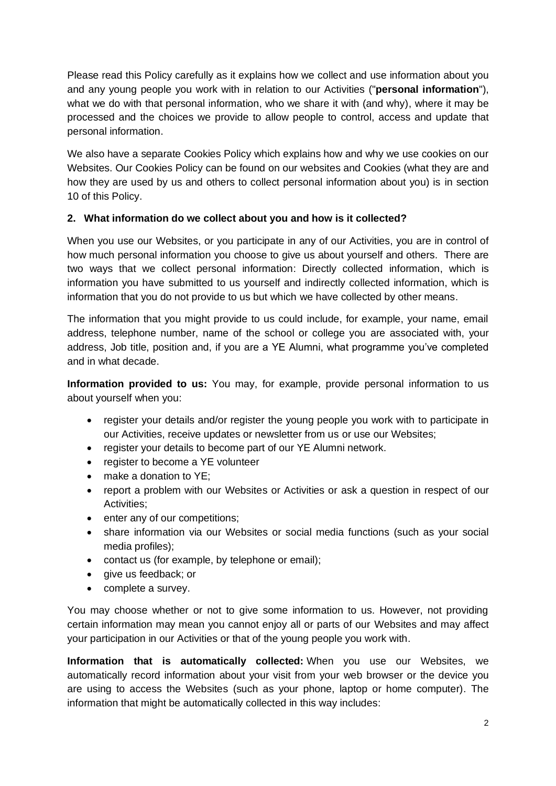Please read this Policy carefully as it explains how we collect and use information about you and any young people you work with in relation to our Activities ("**personal information**"), what we do with that personal information, who we share it with (and why), where it may be processed and the choices we provide to allow people to control, access and update that personal information.

We also have a separate Cookies Policy which explains how and why we use cookies on our Websites. Our Cookies Policy can be found on our websites and Cookies (what they are and how they are used by us and others to collect personal information about you) is in section [10](#page-7-1) of this Policy.

# <span id="page-1-0"></span>**2. What information do we collect about you and how is it collected?**

When you use our Websites, or you participate in any of our Activities, you are in control of how much personal information you choose to give us about yourself and others. There are two ways that we collect personal information: Directly collected information, which is information you have submitted to us yourself and indirectly collected information, which is information that you do not provide to us but which we have collected by other means.

The information that you might provide to us could include, for example, your name, email address, telephone number, name of the school or college you are associated with, your address, Job title, position and, if you are a YE Alumni, what programme you've completed and in what decade.

**Information provided to us:** You may, for example, provide personal information to us about yourself when you:

- register your details and/or register the young people you work with to participate in our Activities, receive updates or newsletter from us or use our Websites;
- register your details to become part of our YE Alumni network.
- register to become a YE volunteer
- make a donation to YE:
- report a problem with our Websites or Activities or ask a question in respect of our Activities;
- enter any of our competitions:
- share information via our Websites or social media functions (such as your social media profiles);
- contact us (for example, by telephone or email);
- give us feedback; or
- complete a survey.

You may choose whether or not to give some information to us. However, not providing certain information may mean you cannot enjoy all or parts of our Websites and may affect your participation in our Activities or that of the young people you work with.

**Information that is automatically collected:** When you use our Websites, we automatically record information about your visit from your web browser or the device you are using to access the Websites (such as your phone, laptop or home computer). The information that might be automatically collected in this way includes: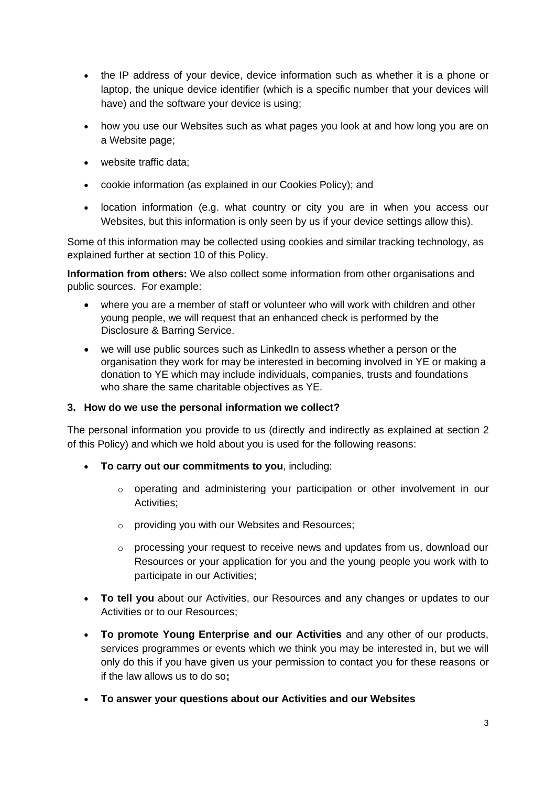- the IP address of your device, device information such as whether it is a phone or laptop, the unique device identifier (which is a specific number that your devices will have) and the software your device is using;
- how you use our Websites such as what pages you look at and how long you are on a Website page;
- website traffic data:
- cookie information (as explained in our Cookies Policy); and
- location information (e.g. what country or city you are in when you access our Websites, but this information is only seen by us if your device settings allow this).

Some of this information may be collected using cookies and similar tracking technology, as explained further at section [10](#page-7-1) of this Policy.

**Information from others:** We also collect some information from other organisations and public sources. For example:

- where you are a member of staff or volunteer who will work with children and other young people, we will request that an enhanced check is performed by the Disclosure & Barring Service.
- we will use public sources such as LinkedIn to assess whether a person or the organisation they work for may be interested in becoming involved in YE or making a donation to YE which may include individuals, companies, trusts and foundations who share the same charitable objectives as YE.

### **3. How do we use the personal information we collect?**

The personal information you provide to us (directly and indirectly as explained at section [2](#page-1-0) of this Policy) and which we hold about you is used for the following reasons:

- **To carry out our commitments to you**, including:
	- o operating and administering your participation or other involvement in our Activities;
	- o providing you with our Websites and Resources;
	- o processing your request to receive news and updates from us, download our Resources or your application for you and the young people you work with to participate in our Activities;
- **To tell you** about our Activities, our Resources and any changes or updates to our Activities or to our Resources;
- **To promote Young Enterprise and our Activities** and any other of our products, services programmes or events which we think you may be interested in, but we will only do this if you have given us your permission to contact you for these reasons or if the law allows us to do so**;**
- **To answer your questions about our Activities and our Websites**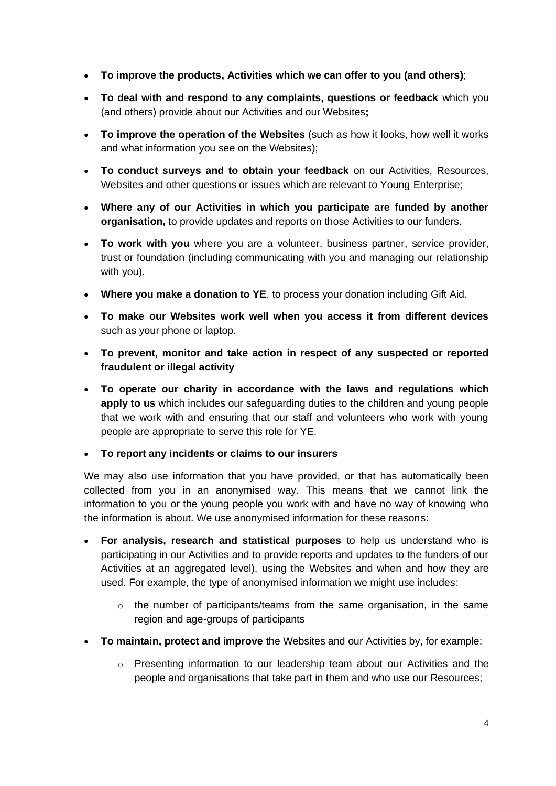- **To improve the products, Activities which we can offer to you (and others)**;
- **To deal with and respond to any complaints, questions or feedback** which you (and others) provide about our Activities and our Websites**;**
- **To improve the operation of the Websites** (such as how it looks, how well it works and what information you see on the Websites);
- **To conduct surveys and to obtain your feedback** on our Activities, Resources, Websites and other questions or issues which are relevant to Young Enterprise;
- **Where any of our Activities in which you participate are funded by another organisation,** to provide updates and reports on those Activities to our funders.
- **To work with you** where you are a volunteer, business partner, service provider, trust or foundation (including communicating with you and managing our relationship with you).
- **Where you make a donation to YE**, to process your donation including Gift Aid.
- **To make our Websites work well when you access it from different devices** such as your phone or laptop.
- **To prevent, monitor and take action in respect of any suspected or reported fraudulent or illegal activity**
- **To operate our charity in accordance with the laws and regulations which apply to us** which includes our safeguarding duties to the children and young people that we work with and ensuring that our staff and volunteers who work with young people are appropriate to serve this role for YE.
- **To report any incidents or claims to our insurers**

We may also use information that you have provided, or that has automatically been collected from you in an anonymised way. This means that we cannot link the information to you or the young people you work with and have no way of knowing who the information is about. We use anonymised information for these reasons:

- **For analysis, research and statistical purposes** to help us understand who is participating in our Activities and to provide reports and updates to the funders of our Activities at an aggregated level), using the Websites and when and how they are used. For example, the type of anonymised information we might use includes:
	- $\circ$  the number of participants/teams from the same organisation, in the same region and age-groups of participants
- **To maintain, protect and improve** the Websites and our Activities by, for example:
	- o Presenting information to our leadership team about our Activities and the people and organisations that take part in them and who use our Resources;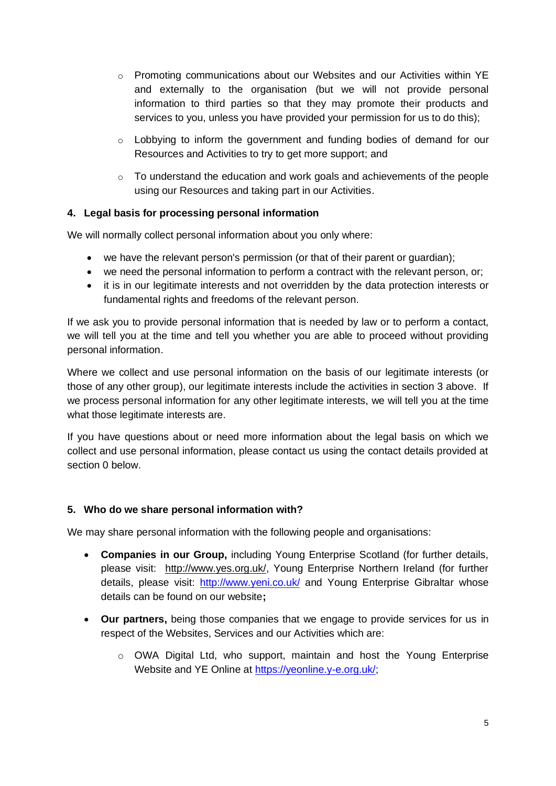- $\circ$  Promoting communications about our Websites and our Activities within YE and externally to the organisation (but we will not provide personal information to third parties so that they may promote their products and services to you, unless you have provided your permission for us to do this);
- $\circ$  Lobbying to inform the government and funding bodies of demand for our Resources and Activities to try to get more support; and
- o To understand the education and work goals and achievements of the people using our Resources and taking part in our Activities.

# **4. Legal basis for processing personal information**

We will normally collect personal information about you only where:

- we have the relevant person's permission (or that of their parent or guardian);
- we need the personal information to perform a contract with the relevant person, or;
- it is in our legitimate interests and not overridden by the data protection interests or fundamental rights and freedoms of the relevant person.

If we ask you to provide personal information that is needed by law or to perform a contact, we will tell you at the time and tell you whether you are able to proceed without providing personal information.

Where we collect and use personal information on the basis of our legitimate interests (or those of any other group), our legitimate interests include the activities in section 3 above. If we process personal information for any other legitimate interests, we will tell you at the time what those legitimate interests are.

If you have questions about or need more information about the legal basis on which we collect and use personal information, please contact us using the contact details provided at section [0](#page-7-2) below.

# **5. Who do we share personal information with?**

We may share personal information with the following people and organisations:

- **Companies in our Group,** including Young Enterprise Scotland (for further details, please visit: [http://www.yes.org.uk/,](http://www.yes.org.uk/) Young Enterprise Northern Ireland (for further details, please visit: <http://www.yeni.co.uk/> and Young Enterprise Gibraltar whose details can be found on our website**;**
- **Our partners,** being those companies that we engage to provide services for us in respect of the Websites, Services and our Activities which are:
	- $\circ$  OWA Digital Ltd, who support, maintain and host the Young Enterprise Website and YE Online at [https://yeonline.y-e.org.uk/;](https://yeonline.y-e.org.uk/)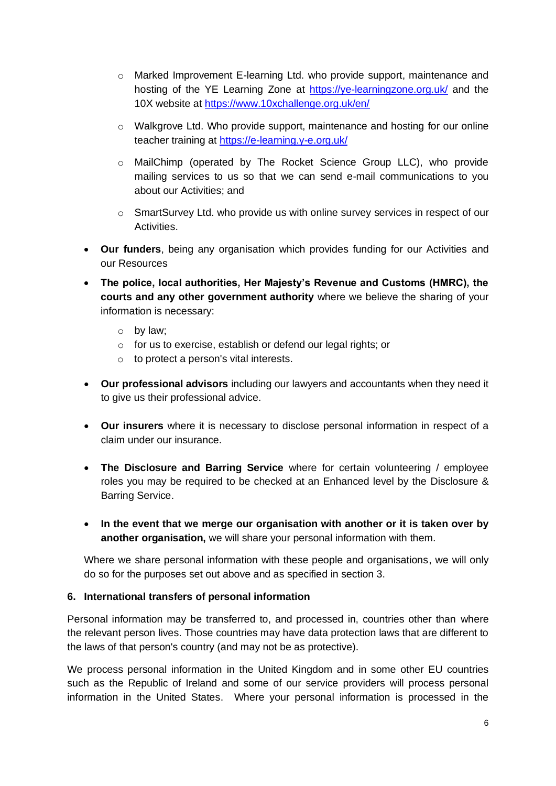- o Marked Improvement E-learning Ltd. who provide support, maintenance and hosting of the YE Learning Zone at <https://ye-learningzone.org.uk/> and the 10X website at<https://www.10xchallenge.org.uk/en/>
- o Walkgrove Ltd. Who provide support, maintenance and hosting for our online teacher training at<https://e-learning.y-e.org.uk/>
- o MailChimp (operated by The Rocket Science Group LLC), who provide mailing services to us so that we can send e-mail communications to you about our Activities; and
- o SmartSurvey Ltd. who provide us with online survey services in respect of our Activities.
- **Our funders**, being any organisation which provides funding for our Activities and our Resources
- **The police, local authorities, Her Majesty's Revenue and Customs (HMRC), the courts and any other government authority** where we believe the sharing of your information is necessary:
	- o by law;
	- o for us to exercise, establish or defend our legal rights; or
	- $\circ$  to protect a person's vital interests.
- **Our professional advisors** including our lawyers and accountants when they need it to give us their professional advice.
- **Our insurers** where it is necessary to disclose personal information in respect of a claim under our insurance.
- **The Disclosure and Barring Service** where for certain volunteering / employee roles you may be required to be checked at an Enhanced level by the Disclosure & Barring Service.
- **In the event that we merge our organisation with another or it is taken over by another organisation,** we will share your personal information with them.

Where we share personal information with these people and organisations, we will only do so for the purposes set out above and as specified in section 3.

### **6. International transfers of personal information**

Personal information may be transferred to, and processed in, countries other than where the relevant person lives. Those countries may have data protection laws that are different to the laws of that person's country (and may not be as protective).

We process personal information in the United Kingdom and in some other EU countries such as the Republic of Ireland and some of our service providers will process personal information in the United States. Where your personal information is processed in the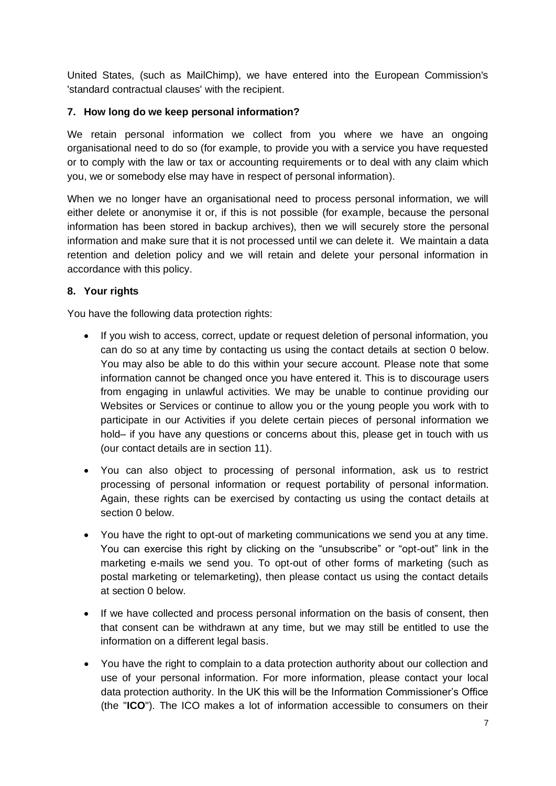United States, (such as MailChimp), we have entered into the European Commission's 'standard contractual clauses' with the recipient.

## **7. How long do we keep personal information?**

We retain personal information we collect from you where we have an ongoing organisational need to do so (for example, to provide you with a service you have requested or to comply with the law or tax or accounting requirements or to deal with any claim which you, we or somebody else may have in respect of personal information).

When we no longer have an organisational need to process personal information, we will either delete or anonymise it or, if this is not possible (for example, because the personal information has been stored in backup archives), then we will securely store the personal information and make sure that it is not processed until we can delete it. We maintain a data retention and deletion policy and we will retain and delete your personal information in accordance with this policy.

## **8. Your rights**

You have the following data protection rights:

- If you wish to access, correct, update or request deletion of personal information, you can do so at any time by contacting us using the contact details at section [0](#page-7-2) below. You may also be able to do this within your secure account. Please note that some information cannot be changed once you have entered it. This is to discourage users from engaging in unlawful activities. We may be unable to continue providing our Websites or Services or continue to allow you or the young people you work with to participate in our Activities if you delete certain pieces of personal information we hold– if you have any questions or concerns about this, please get in touch with us (our contact details are in section 11).
- You can also object to processing of personal information, ask us to restrict processing of personal information or request portability of personal information. Again, these rights can be exercised by contacting us using the contact details at section [0](#page-7-2) below.
- You have the right to opt-out of marketing communications we send you at any time. You can exercise this right by clicking on the "unsubscribe" or "opt-out" link in the marketing e-mails we send you. To opt-out of other forms of marketing (such as postal marketing or telemarketing), then please contact us using the contact details at section [0](#page-7-2) below.
- If we have collected and process personal information on the basis of consent, then that consent can be withdrawn at any time, but we may still be entitled to use the information on a different legal basis.
- You have the right to complain to a data protection authority about our collection and use of your personal information. For more information, please contact your local data protection authority. In the UK this will be the Information Commissioner's Office (the "**ICO**"). The ICO makes a lot of information accessible to consumers on their